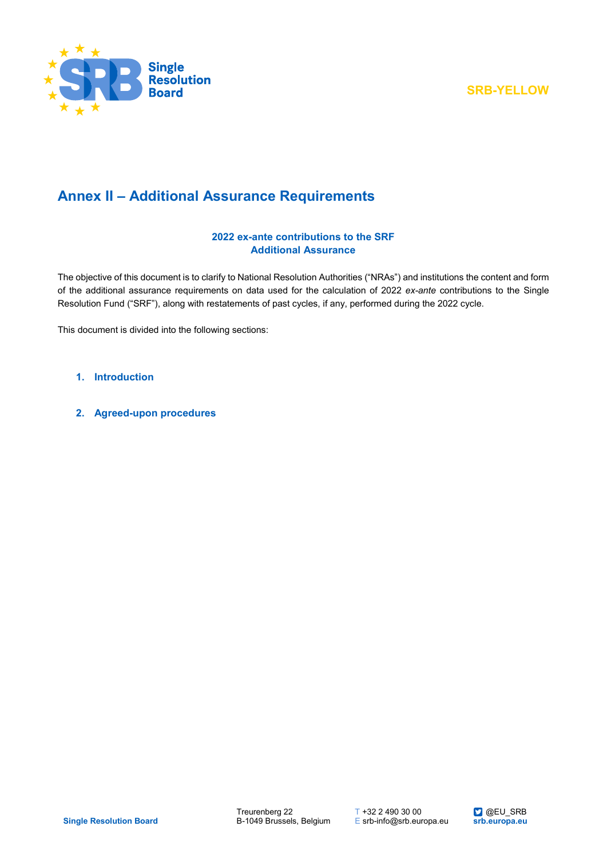

# **Annex II – Additional Assurance Requirements**

### **2022 ex-ante contributions to the SRF Additional Assurance**

The objective of this document is to clarify to National Resolution Authorities ("NRAs") and institutions the content and form of the additional assurance requirements on data used for the calculation of 2022 *ex-ante* contributions to the Single Resolution Fund ("SRF"), along with restatements of past cycles, if any, performed during the 2022 cycle.

This document is divided into the following sections:

- **1. [Introduction](#page-1-0)**
- **2. [Agreed-upon procedures](#page-2-0)**

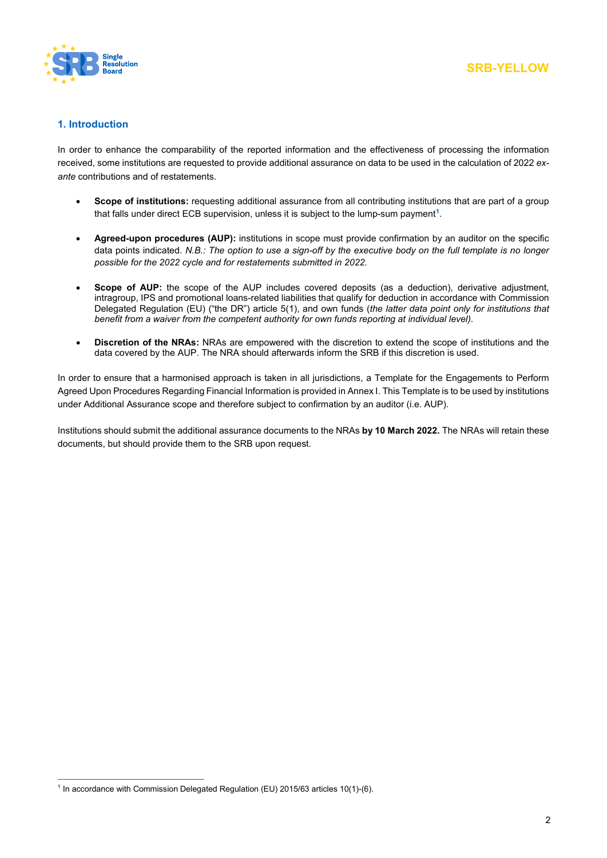

### <span id="page-1-0"></span>**1. Introduction**

In order to enhance the comparability of the reported information and the effectiveness of processing the information received, some institutions are requested to provide additional assurance on data to be used in the calculation of 2022 *exante* contributions and of restatements.

- **Scope of institutions:** requesting additional assurance from all contributing institutions that are part of a group that falls under direct ECB supervision, unless it is subject to the lump-sum payment**[1](#page-1-1)**.
- **Agreed-upon procedures (AUP):** institutions in scope must provide confirmation by an auditor on the specific data points indicated. *N.B.: The option to use a sign-off by the executive body on the full template is no longer possible for the 2022 cycle and for restatements submitted in 2022.*
- **Scope of AUP:** the scope of the AUP includes covered deposits (as a deduction), derivative adjustment, intragroup, IPS and promotional loans-related liabilities that qualify for deduction in accordance with Commission Delegated Regulation (EU) ("the DR") article 5(1), and own funds (*the latter data point only for institutions that benefit from a waiver from the competent authority for own funds reporting at individual level)*.
- **Discretion of the NRAs:** NRAs are empowered with the discretion to extend the scope of institutions and the data covered by the AUP. The NRA should afterwards inform the SRB if this discretion is used.

In order to ensure that a harmonised approach is taken in all jurisdictions, a Template for the Engagements to Perform Agreed Upon Procedures Regarding Financial Information is provided in Annex I. This Template is to be used by institutions under Additional Assurance scope and therefore subject to confirmation by an auditor (i.e. AUP).

Institutions should submit the additional assurance documents to the NRAs **by 10 March 2022.** The NRAs will retain these documents, but should provide them to the SRB upon request.

<span id="page-1-1"></span><sup>1</sup> **<sup>1</sup>** In accordance with Commission Delegated Regulation (EU) 2015/63 articles 10(1)-(6).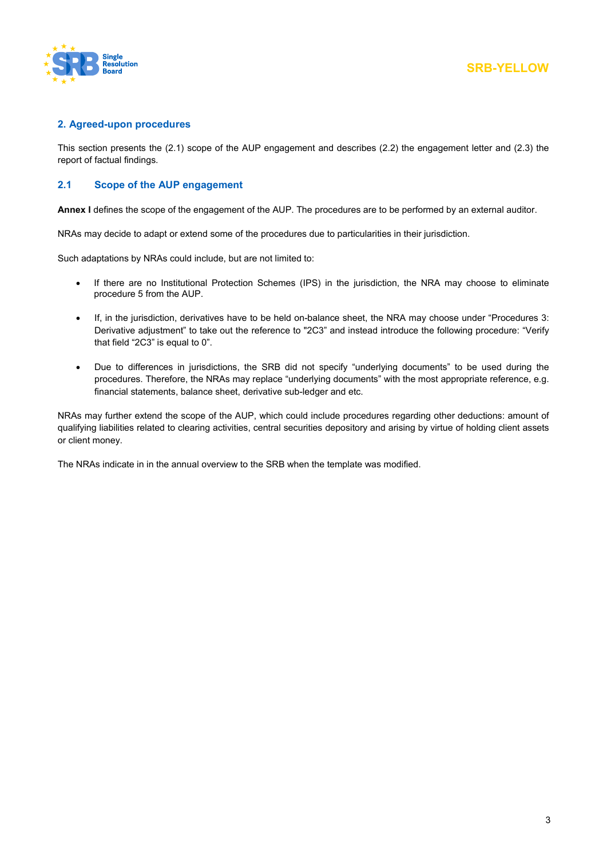

### <span id="page-2-0"></span>**2. Agreed-upon procedures**

This section presents the (2.1) scope of the AUP engagement and describes (2.2) the engagement letter and (2.3) the report of factual findings.

### **2.1 Scope of the AUP engagement**

**Annex I** defines the scope of the engagement of the AUP. The procedures are to be performed by an external auditor.

NRAs may decide to adapt or extend some of the procedures due to particularities in their jurisdiction.

Such adaptations by NRAs could include, but are not limited to:

- If there are no Institutional Protection Schemes (IPS) in the jurisdiction, the NRA may choose to eliminate procedure 5 from the AUP.
- If, in the jurisdiction, derivatives have to be held on-balance sheet, the NRA may choose under "Procedures 3: Derivative adjustment" to take out the reference to "2C3" and instead introduce the following procedure: "Verify that field "2C3" is equal to 0".
- Due to differences in jurisdictions, the SRB did not specify "underlying documents" to be used during the procedures. Therefore, the NRAs may replace "underlying documents" with the most appropriate reference, e.g. financial statements, balance sheet, derivative sub-ledger and etc.

NRAs may further extend the scope of the AUP, which could include procedures regarding other deductions: amount of qualifying liabilities related to clearing activities, central securities depository and arising by virtue of holding client assets or client money.

The NRAs indicate in in the annual overview to the SRB when the template was modified.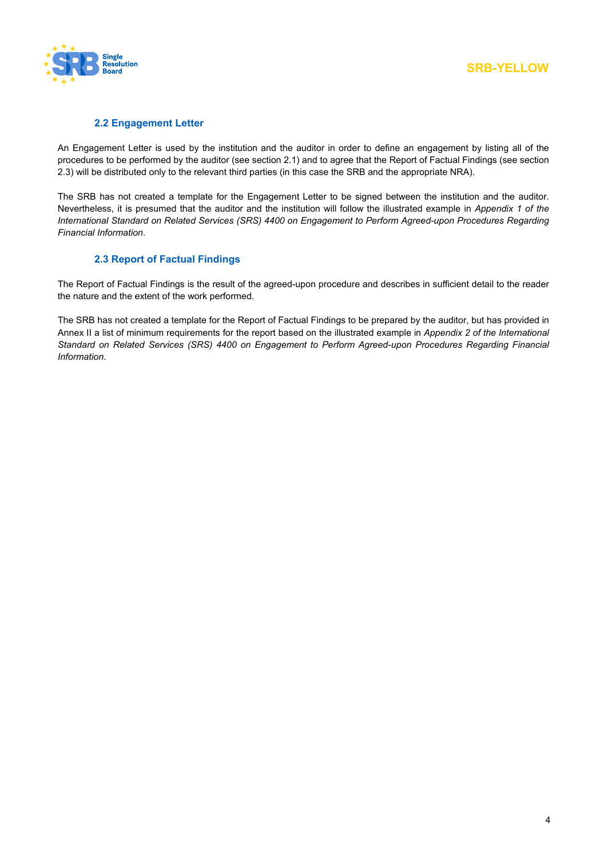

### **2.2 Engagement Letter**

An Engagement Letter is used by the institution and the auditor in order to define an engagement by listing all of the procedures to be performed by the auditor (see section 2.1) and to agree that the Report of Factual Findings (see section 2.3) will be distributed only to the relevant third parties (in this case the SRB and the appropriate NRA).

The SRB has not created a template for the Engagement Letter to be signed between the institution and the auditor. Nevertheless, it is presumed that the auditor and the institution will follow the illustrated example in *Appendix 1 of the International Standard on Related Services (SRS) 4400 on Engagement to Perform Agreed-upon Procedures Regarding Financial Information*.

### **2.3 Report of Factual Findings**

The Report of Factual Findings is the result of the agreed-upon procedure and describes in sufficient detail to the reader the nature and the extent of the work performed.

The SRB has not created a template for the Report of Factual Findings to be prepared by the auditor, but has provided in Annex II a list of minimum requirements for the report based on the illustrated example in *Appendix 2 of the International Standard on Related Services (SRS) 4400 on Engagement to Perform Agreed-upon Procedures Regarding Financial Information*.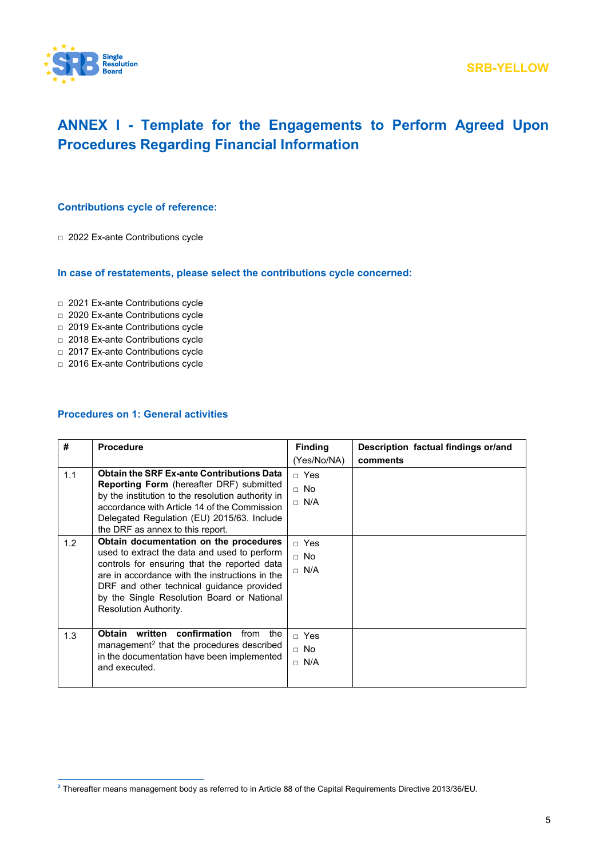

# **ANNEX I - Template for the Engagements to Perform Agreed Upon Procedures Regarding Financial Information**

### **Contributions cycle of reference:**

□ 2022 Ex-ante Contributions cycle

### **In case of restatements, please select the contributions cycle concerned:**

- □ 2021 Ex-ante Contributions cycle
- □ 2020 Ex-ante Contributions cycle
- □ 2019 Ex-ante Contributions cycle
- □ 2018 Ex-ante Contributions cycle
- □ 2017 Ex-ante Contributions cycle
- □ 2016 Ex-ante Contributions cycle

#### **Procedures on 1: General activities**

| #          | <b>Procedure</b>                                                                                                                                                                                                                                                                                                                                                                                                                                                                | <b>Finding</b><br>(Yes/No/NA)                                                        | Description factual findings or/and<br>comments |
|------------|---------------------------------------------------------------------------------------------------------------------------------------------------------------------------------------------------------------------------------------------------------------------------------------------------------------------------------------------------------------------------------------------------------------------------------------------------------------------------------|--------------------------------------------------------------------------------------|-------------------------------------------------|
| 1.1<br>1.2 | <b>Obtain the SRF Ex-ante Contributions Data</b><br>Reporting Form (hereafter DRF) submitted<br>by the institution to the resolution authority in<br>accordance with Article 14 of the Commission<br>Delegated Regulation (EU) 2015/63. Include<br>the DRF as annex to this report.<br>Obtain documentation on the procedures<br>used to extract the data and used to perform<br>controls for ensuring that the reported data<br>are in accordance with the instructions in the | $\sqcap$ Yes<br>$\sqcap$ No<br>$\Box$ N/A<br>$\sqcap$ Yes<br>$\Box$ No<br>$\Box$ N/A |                                                 |
|            | DRF and other technical guidance provided<br>by the Single Resolution Board or National<br>Resolution Authority.                                                                                                                                                                                                                                                                                                                                                                |                                                                                      |                                                 |
| 1.3        | confirmation<br><b>Obtain</b><br>written<br>from<br>the<br>management <sup>2</sup> that the procedures described<br>in the documentation have been implemented<br>and executed.                                                                                                                                                                                                                                                                                                 | □ Yes<br>$\Box$ No<br>$\Box$ N/A                                                     |                                                 |

<span id="page-4-0"></span><sup>1</sup> **<sup>2</sup>** Thereafter means management body as referred to in Article 88 of the Capital Requirements Directive 2013/36/EU.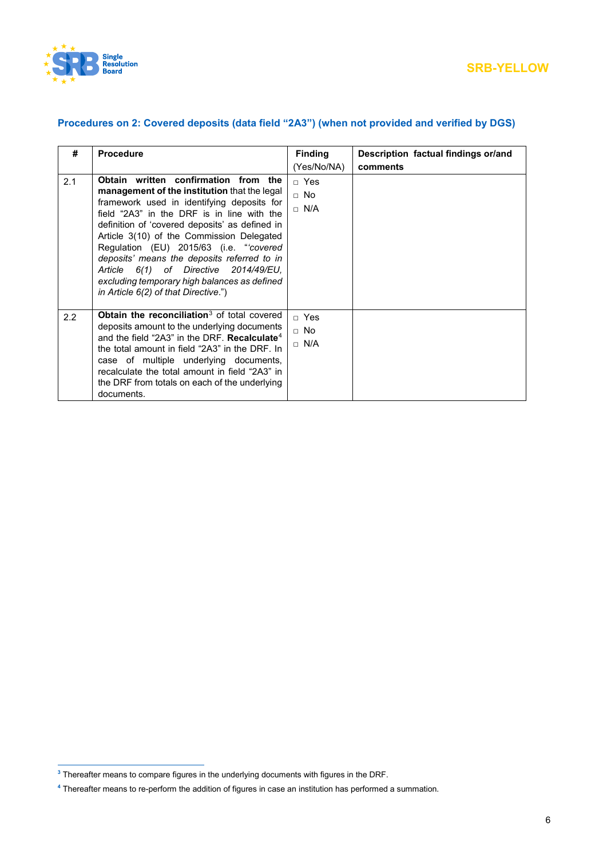

# **Procedures on 2: Covered deposits (data field "2A3") (when not provided and verified by DGS)**

| #   | <b>Procedure</b>                                                                                                                                                                                                                                                                                                                                                                                                                                                                                           | <b>Finding</b>                                | Description factual findings or/and |
|-----|------------------------------------------------------------------------------------------------------------------------------------------------------------------------------------------------------------------------------------------------------------------------------------------------------------------------------------------------------------------------------------------------------------------------------------------------------------------------------------------------------------|-----------------------------------------------|-------------------------------------|
|     |                                                                                                                                                                                                                                                                                                                                                                                                                                                                                                            | (Yes/No/NA)                                   | comments                            |
| 2.1 | Obtain written confirmation from the<br>management of the institution that the legal<br>framework used in identifying deposits for<br>field "2A3" in the DRF is in line with the<br>definition of 'covered deposits' as defined in<br>Article 3(10) of the Commission Delegated<br>Regulation (EU) 2015/63 (i.e. "covered"<br>deposits' means the deposits referred to in<br>Article 6(1) of Directive 2014/49/EU.<br>excluding temporary high balances as defined<br>in Article 6(2) of that Directive.") | $\sqcap$ Yes<br><sub>⊓</sub> No<br>$\Box$ N/A |                                     |
| 2.2 | <b>Obtain the reconciliation</b> $3$ of total covered<br>deposits amount to the underlying documents<br>and the field "2A3" in the DRF. <b>Recalculate</b> <sup>4</sup><br>the total amount in field "2A3" in the DRF. In<br>case of multiple underlying documents,<br>recalculate the total amount in field "2A3" in<br>the DRF from totals on each of the underlying<br>documents.                                                                                                                       | □ Yes<br>$\Box$ No<br>$\Box$ N/A              |                                     |

1

<span id="page-5-0"></span>**<sup>3</sup>** Thereafter means to compare figures in the underlying documents with figures in the DRF.

<span id="page-5-1"></span>**<sup>4</sup>** Thereafter means to re-perform the addition of figures in case an institution has performed a summation.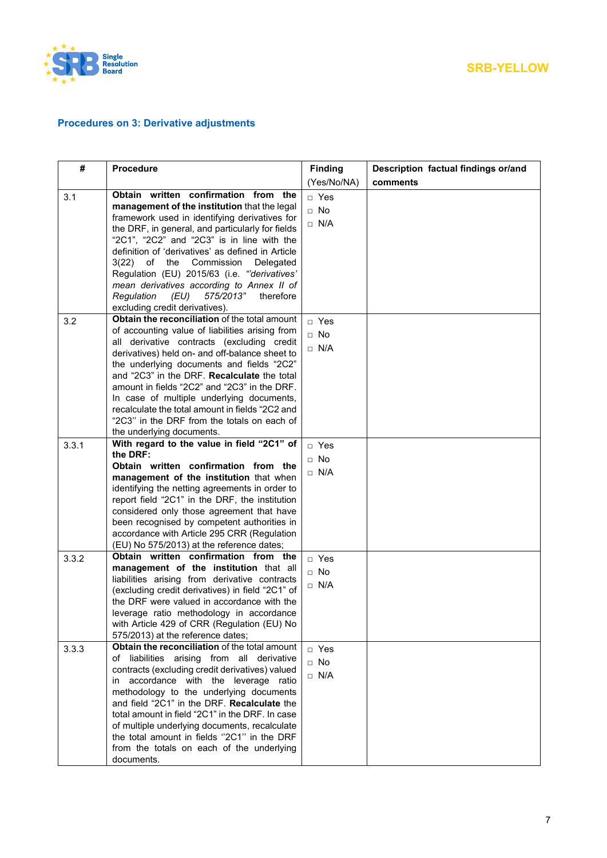

# **Procedures on 3: Derivative adjustments**

| #     | <b>Procedure</b>                                                                            | <b>Finding</b> | Description factual findings or/and |
|-------|---------------------------------------------------------------------------------------------|----------------|-------------------------------------|
|       |                                                                                             | (Yes/No/NA)    | comments                            |
| 3.1   | Obtain written confirmation from the                                                        | □ Yes          |                                     |
|       | management of the institution that the legal                                                | $\Box$ No      |                                     |
|       | framework used in identifying derivatives for                                               | $\Box$ N/A     |                                     |
|       | the DRF, in general, and particularly for fields                                            |                |                                     |
|       | "2C1", "2C2" and "2C3" is in line with the                                                  |                |                                     |
|       | definition of 'derivatives' as defined in Article                                           |                |                                     |
|       | $3(22)$ of<br>the<br>Commission<br>Delegated<br>Regulation (EU) 2015/63 (i.e. "derivatives' |                |                                     |
|       | mean derivatives according to Annex II of                                                   |                |                                     |
|       | 575/2013"<br>Regulation<br>(EU)<br>therefore                                                |                |                                     |
|       | excluding credit derivatives).                                                              |                |                                     |
| 3.2   | Obtain the reconciliation of the total amount                                               | □ Yes          |                                     |
|       | of accounting value of liabilities arising from                                             | $\Box$ No      |                                     |
|       | all derivative contracts (excluding credit                                                  |                |                                     |
|       | derivatives) held on- and off-balance sheet to                                              | $\Box$ N/A     |                                     |
|       | the underlying documents and fields "2C2"                                                   |                |                                     |
|       | and "2C3" in the DRF. Recalculate the total                                                 |                |                                     |
|       | amount in fields "2C2" and "2C3" in the DRF.                                                |                |                                     |
|       | In case of multiple underlying documents,                                                   |                |                                     |
|       | recalculate the total amount in fields "2C2 and                                             |                |                                     |
|       | "2C3" in the DRF from the totals on each of<br>the underlying documents.                    |                |                                     |
|       | With regard to the value in field "2C1" of                                                  |                |                                     |
| 3.3.1 | the DRF:                                                                                    | □ Yes          |                                     |
|       | Obtain written confirmation from the                                                        | $\Box$ No      |                                     |
|       | management of the institution that when                                                     | $\Box$ N/A     |                                     |
|       | identifying the netting agreements in order to                                              |                |                                     |
|       | report field "2C1" in the DRF, the institution                                              |                |                                     |
|       | considered only those agreement that have                                                   |                |                                     |
|       | been recognised by competent authorities in                                                 |                |                                     |
|       | accordance with Article 295 CRR (Regulation                                                 |                |                                     |
|       | (EU) No 575/2013) at the reference dates;<br>Obtain written confirmation from the           |                |                                     |
| 3.3.2 | management of the institution that all                                                      | □ Yes          |                                     |
|       | liabilities arising from derivative contracts                                               | $\Box$ No      |                                     |
|       | (excluding credit derivatives) in field "2C1" of                                            | $\Box$ N/A     |                                     |
|       | the DRF were valued in accordance with the                                                  |                |                                     |
|       | leverage ratio methodology in accordance                                                    |                |                                     |
|       | with Article 429 of CRR (Regulation (EU) No                                                 |                |                                     |
|       | 575/2013) at the reference dates;                                                           |                |                                     |
| 3.3.3 | Obtain the reconciliation of the total amount                                               | □ Yes          |                                     |
|       | of liabilities arising from all derivative                                                  | $\Box$ No      |                                     |
|       | contracts (excluding credit derivatives) valued                                             | $\Box$ N/A     |                                     |
|       | accordance with the leverage ratio<br>in.                                                   |                |                                     |
|       | methodology to the underlying documents<br>and field "2C1" in the DRF. Recalculate the      |                |                                     |
|       | total amount in field "2C1" in the DRF. In case                                             |                |                                     |
|       | of multiple underlying documents, recalculate                                               |                |                                     |
|       | the total amount in fields "2C1" in the DRF                                                 |                |                                     |
|       | from the totals on each of the underlying                                                   |                |                                     |
|       | documents.                                                                                  |                |                                     |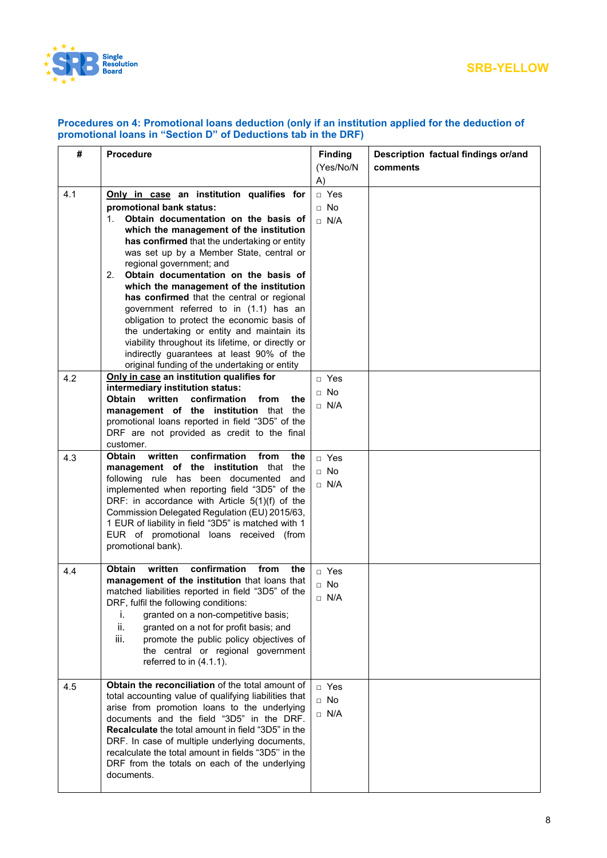

| #   | <b>Procedure</b>                                                                               | <b>Finding</b> | Description factual findings or/and |
|-----|------------------------------------------------------------------------------------------------|----------------|-------------------------------------|
|     |                                                                                                | (Yes/No/N      | comments                            |
|     |                                                                                                | A)             |                                     |
| 4.1 | Only in case an institution qualifies for                                                      | □ Yes          |                                     |
|     | promotional bank status:                                                                       | $\Box$ No      |                                     |
|     | Obtain documentation on the basis of<br>$1_{-}$                                                | $\Box$ N/A     |                                     |
|     | which the management of the institution                                                        |                |                                     |
|     | has confirmed that the undertaking or entity<br>was set up by a Member State, central or       |                |                                     |
|     | regional government; and                                                                       |                |                                     |
|     | 2.<br>Obtain documentation on the basis of                                                     |                |                                     |
|     | which the management of the institution                                                        |                |                                     |
|     | has confirmed that the central or regional                                                     |                |                                     |
|     | government referred to in (1.1) has an                                                         |                |                                     |
|     | obligation to protect the economic basis of                                                    |                |                                     |
|     | the undertaking or entity and maintain its                                                     |                |                                     |
|     | viability throughout its lifetime, or directly or                                              |                |                                     |
|     | indirectly guarantees at least 90% of the                                                      |                |                                     |
| 4.2 | original funding of the undertaking or entity<br>Only in case an institution qualifies for     | $\Box$ Yes     |                                     |
|     | intermediary institution status:                                                               |                |                                     |
|     | <b>Obtain</b><br>written<br>confirmation<br>from<br>the                                        | $\Box$ No      |                                     |
|     | management of the institution that the                                                         | $\Box$ N/A     |                                     |
|     | promotional loans reported in field "3D5" of the                                               |                |                                     |
|     | DRF are not provided as credit to the final                                                    |                |                                     |
|     | customer.<br>confirmation<br>written<br>from<br><b>Obtain</b><br>the                           |                |                                     |
| 4.3 | management of the institution that<br>the                                                      | □ Yes          |                                     |
|     | following rule has been documented<br>and                                                      | $\Box$ No      |                                     |
|     | implemented when reporting field "3D5" of the                                                  | $\Box$ N/A     |                                     |
|     | DRF: in accordance with Article 5(1)(f) of the                                                 |                |                                     |
|     | Commission Delegated Regulation (EU) 2015/63,                                                  |                |                                     |
|     | 1 EUR of liability in field "3D5" is matched with 1<br>EUR of promotional loans received (from |                |                                     |
|     | promotional bank).                                                                             |                |                                     |
|     |                                                                                                |                |                                     |
| 4.4 | confirmation<br>written<br><b>Obtain</b><br>from<br>the                                        | □ Yes          |                                     |
|     | management of the institution that loans that                                                  | $\Box$ No      |                                     |
|     | matched liabilities reported in field "3D5" of the                                             | $\Box$ N/A     |                                     |
|     | DRF, fulfil the following conditions:                                                          |                |                                     |
|     | granted on a non-competitive basis;<br>Ĺ.<br>ii.<br>granted on a not for profit basis; and     |                |                                     |
|     | iii.<br>promote the public policy objectives of                                                |                |                                     |
|     | the central or regional government                                                             |                |                                     |
|     | referred to in (4.1.1).                                                                        |                |                                     |
|     |                                                                                                |                |                                     |
| 4.5 | Obtain the reconciliation of the total amount of                                               | □ Yes          |                                     |
|     | total accounting value of qualifying liabilities that                                          | $\Box$ No      |                                     |
|     | arise from promotion loans to the underlying<br>documents and the field "3D5" in the DRF.      | $\Box$ N/A     |                                     |
|     | <b>Recalculate</b> the total amount in field "3D5" in the                                      |                |                                     |
|     | DRF. In case of multiple underlying documents,                                                 |                |                                     |
|     | recalculate the total amount in fields "3D5" in the                                            |                |                                     |
|     | DRF from the totals on each of the underlying                                                  |                |                                     |
|     | documents.                                                                                     |                |                                     |
|     |                                                                                                |                |                                     |

### **Procedures on 4: Promotional loans deduction (only if an institution applied for the deduction of promotional loans in "Section D" of Deductions tab in the DRF)**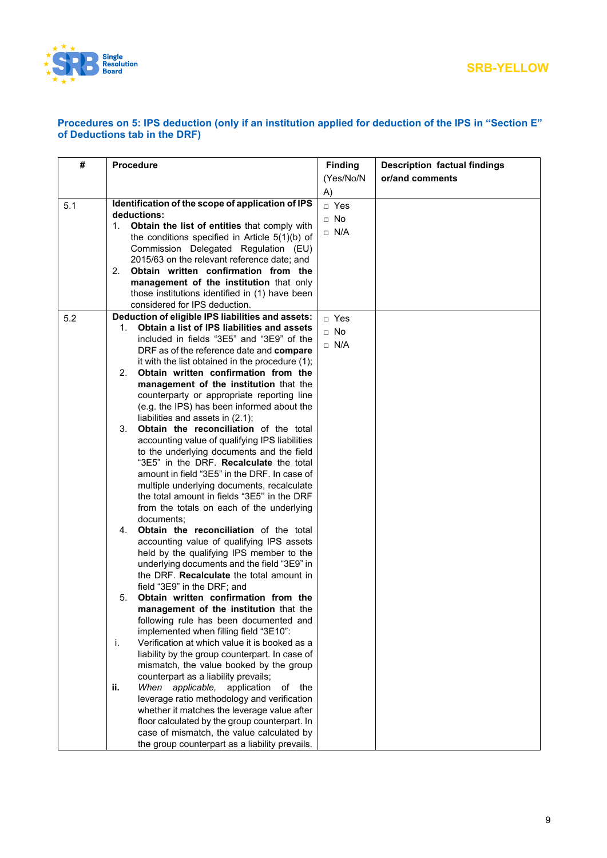

.

## **SRB-YELLOW**

### **Procedures on 5: IPS deduction (only if an institution applied for deduction of the IPS in "Section E" of Deductions tab in the DRF)**

| #   | <b>Procedure</b>                                                                 | <b>Finding</b> | <b>Description factual findings</b> |
|-----|----------------------------------------------------------------------------------|----------------|-------------------------------------|
|     |                                                                                  | (Yes/No/N      | or/and comments                     |
|     |                                                                                  | A)             |                                     |
| 5.1 | Identification of the scope of application of IPS                                | □ Yes          |                                     |
|     | deductions:                                                                      | $\Box$ No      |                                     |
|     | 1. Obtain the list of entities that comply with                                  |                |                                     |
|     | the conditions specified in Article 5(1)(b) of                                   | $\Box$ N/A     |                                     |
|     | Commission Delegated Regulation (EU)                                             |                |                                     |
|     | 2015/63 on the relevant reference date; and                                      |                |                                     |
|     | Obtain written confirmation from the<br>2.                                       |                |                                     |
|     | management of the institution that only                                          |                |                                     |
|     | those institutions identified in (1) have been                                   |                |                                     |
|     | considered for IPS deduction.                                                    |                |                                     |
| 5.2 | Deduction of eligible IPS liabilities and assets:                                | $\Box$ Yes     |                                     |
|     | Obtain a list of IPS liabilities and assets<br>1.                                | $\Box$ No      |                                     |
|     | included in fields "3E5" and "3E9" of the                                        |                |                                     |
|     | DRF as of the reference date and compare                                         | $\Box$ N/A     |                                     |
|     | it with the list obtained in the procedure (1);                                  |                |                                     |
|     | Obtain written confirmation from the<br>2.                                       |                |                                     |
|     | management of the institution that the                                           |                |                                     |
|     | counterparty or appropriate reporting line                                       |                |                                     |
|     | (e.g. the IPS) has been informed about the                                       |                |                                     |
|     | liabilities and assets in (2.1);                                                 |                |                                     |
|     | Obtain the reconciliation of the total<br>3.                                     |                |                                     |
|     | accounting value of qualifying IPS liabilities                                   |                |                                     |
|     | to the underlying documents and the field                                        |                |                                     |
|     | "3E5" in the DRF. Recalculate the total                                          |                |                                     |
|     | amount in field "3E5" in the DRF. In case of                                     |                |                                     |
|     | multiple underlying documents, recalculate                                       |                |                                     |
|     | the total amount in fields "3E5" in the DRF                                      |                |                                     |
|     | from the totals on each of the underlying                                        |                |                                     |
|     | documents;                                                                       |                |                                     |
|     | Obtain the reconciliation of the total<br>4.                                     |                |                                     |
|     | accounting value of qualifying IPS assets                                        |                |                                     |
|     | held by the qualifying IPS member to the                                         |                |                                     |
|     | underlying documents and the field "3E9" in                                      |                |                                     |
|     | the DRF. Recalculate the total amount in                                         |                |                                     |
|     | field "3E9" in the DRF; and                                                      |                |                                     |
|     | Obtain written confirmation from the<br>5.                                       |                |                                     |
|     | management of the institution that the                                           |                |                                     |
|     | following rule has been documented and<br>implemented when filling field "3E10": |                |                                     |
|     | Verification at which value it is booked as a<br>j.                              |                |                                     |
|     | liability by the group counterpart. In case of                                   |                |                                     |
|     | mismatch, the value booked by the group                                          |                |                                     |
|     | counterpart as a liability prevails;                                             |                |                                     |
|     | When applicable, application<br>ii.<br>of the                                    |                |                                     |
|     | leverage ratio methodology and verification                                      |                |                                     |
|     | whether it matches the leverage value after                                      |                |                                     |
|     | floor calculated by the group counterpart. In                                    |                |                                     |
|     | case of mismatch, the value calculated by                                        |                |                                     |
|     | the group counterpart as a liability prevails.                                   |                |                                     |
|     |                                                                                  |                |                                     |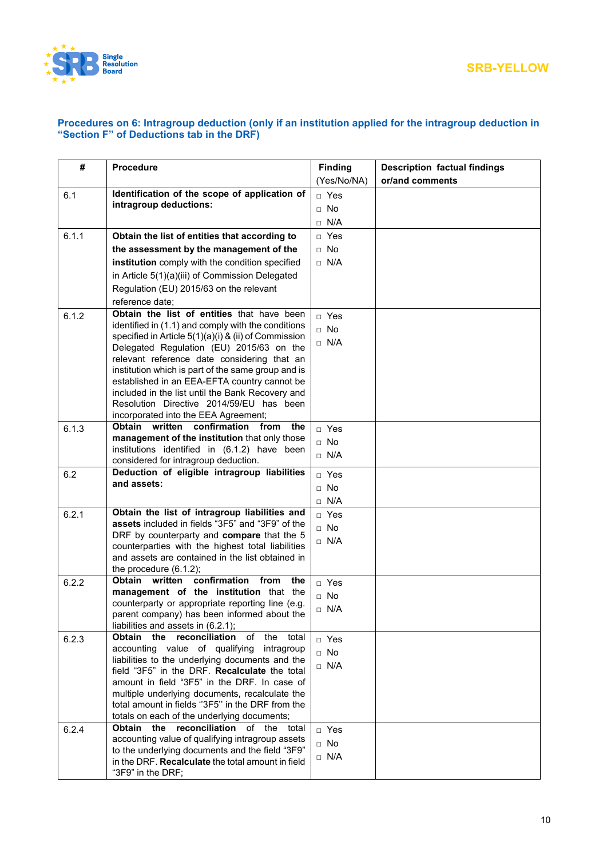

### **Procedures on 6: Intragroup deduction (only if an institution applied for the intragroup deduction in "Section F" of Deductions tab in the DRF)**

| #     | <b>Procedure</b>                                                                                  | <b>Finding</b> | <b>Description factual findings</b> |
|-------|---------------------------------------------------------------------------------------------------|----------------|-------------------------------------|
|       |                                                                                                   | (Yes/No/NA)    | or/and comments                     |
| 6.1   | Identification of the scope of application of                                                     | $\Box$ Yes     |                                     |
|       | intragroup deductions:                                                                            | $\Box$ No      |                                     |
|       |                                                                                                   | N/A<br>$\Box$  |                                     |
| 6.1.1 | Obtain the list of entities that according to                                                     | $\Box$ Yes     |                                     |
|       | the assessment by the management of the                                                           | $\Box$ No      |                                     |
|       | institution comply with the condition specified                                                   | $\Box$ N/A     |                                     |
|       | in Article 5(1)(a)(iii) of Commission Delegated                                                   |                |                                     |
|       | Regulation (EU) 2015/63 on the relevant                                                           |                |                                     |
|       | reference date;                                                                                   |                |                                     |
| 6.1.2 | Obtain the list of entities that have been                                                        | □ Yes          |                                     |
|       | identified in (1.1) and comply with the conditions                                                | $\Box$ No      |                                     |
|       | specified in Article 5(1)(a)(i) & (ii) of Commission                                              |                |                                     |
|       | Delegated Regulation (EU) 2015/63 on the                                                          | $\Box$ N/A     |                                     |
|       | relevant reference date considering that an                                                       |                |                                     |
|       | institution which is part of the same group and is                                                |                |                                     |
|       | established in an EEA-EFTA country cannot be<br>included in the list until the Bank Recovery and  |                |                                     |
|       | Resolution Directive 2014/59/EU has been                                                          |                |                                     |
|       | incorporated into the EEA Agreement;                                                              |                |                                     |
| 6.1.3 | Obtain written<br>confirmation<br>from<br>the                                                     | □ Yes          |                                     |
|       | management of the institution that only those                                                     | $\Box$ No      |                                     |
|       | institutions identified in (6.1.2) have been                                                      | $\Box$ N/A     |                                     |
|       | considered for intragroup deduction.                                                              |                |                                     |
| 6.2   | Deduction of eligible intragroup liabilities<br>and assets:                                       | $\Box$ Yes     |                                     |
|       |                                                                                                   | $\Box$ No      |                                     |
|       |                                                                                                   | $\Box$ N/A     |                                     |
| 6.2.1 | Obtain the list of intragroup liabilities and<br>assets included in fields "3F5" and "3F9" of the | □ Yes          |                                     |
|       | DRF by counterparty and compare that the 5                                                        | $\Box$ No      |                                     |
|       | counterparties with the highest total liabilities                                                 | $\Box$ N/A     |                                     |
|       | and assets are contained in the list obtained in                                                  |                |                                     |
|       | the procedure $(6.1.2)$ ;                                                                         |                |                                     |
| 6.2.2 | confirmation from<br>Obtain written<br>the                                                        | □ Yes          |                                     |
|       | management of the institution that the<br>counterparty or appropriate reporting line (e.g.        | $\Box$ No      |                                     |
|       | parent company) has been informed about the                                                       | $\Box$ N/A     |                                     |
|       | liabilities and assets in (6.2.1);                                                                |                |                                     |
| 6.2.3 | the<br>reconciliation<br>Obtain<br>оf<br>the<br>total                                             | □ Yes          |                                     |
|       | accounting value of qualifying<br>intragroup                                                      | $\Box$ No      |                                     |
|       | liabilities to the underlying documents and the                                                   | $\Box$ N/A     |                                     |
|       | field "3F5" in the DRF. Recalculate the total                                                     |                |                                     |
|       | amount in field "3F5" in the DRF. In case of<br>multiple underlying documents, recalculate the    |                |                                     |
|       | total amount in fields "3F5" in the DRF from the                                                  |                |                                     |
|       | totals on each of the underlying documents;                                                       |                |                                     |
| 6.2.4 | reconciliation<br>of the total<br><b>Obtain</b><br>the                                            | □ Yes          |                                     |
|       | accounting value of qualifying intragroup assets                                                  | $\Box$ No      |                                     |
|       | to the underlying documents and the field "3F9"                                                   | $\Box$ N/A     |                                     |
|       | in the DRF. Recalculate the total amount in field                                                 |                |                                     |
|       | "3F9" in the DRF;                                                                                 |                |                                     |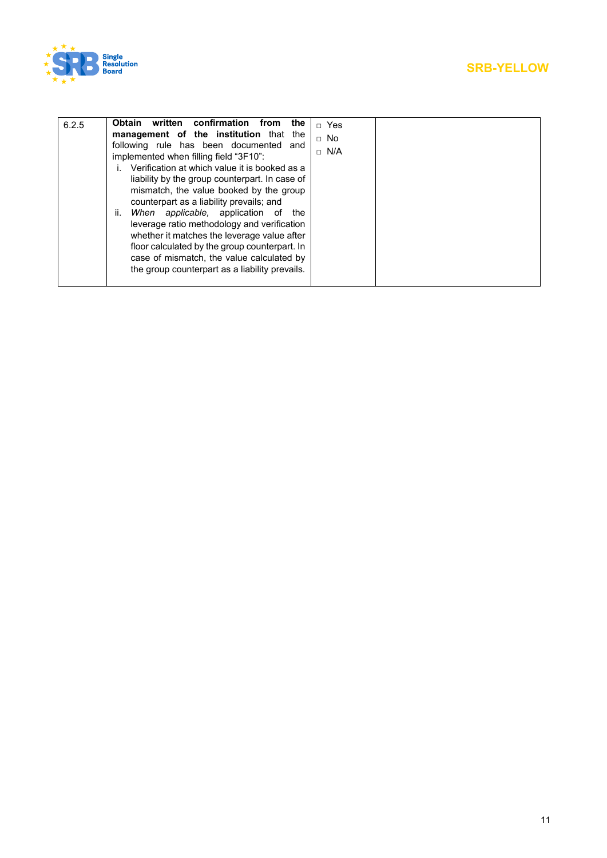

| 6.2.5 | Obtain<br>written confirmation<br>from<br>the<br>management of the institution that the<br>following rule has been documented and<br>implemented when filling field "3F10":<br>Verification at which value it is booked as a<br>liability by the group counterpart. In case of<br>mismatch, the value booked by the group<br>counterpart as a liability prevails; and<br>ii.<br>When applicable, application of<br>the<br>leverage ratio methodology and verification<br>whether it matches the leverage value after | $\sqcap$ Yes<br>$\Box$ No<br>$\Box$ N/A |
|-------|----------------------------------------------------------------------------------------------------------------------------------------------------------------------------------------------------------------------------------------------------------------------------------------------------------------------------------------------------------------------------------------------------------------------------------------------------------------------------------------------------------------------|-----------------------------------------|
|       | floor calculated by the group counterpart. In<br>case of mismatch, the value calculated by<br>the group counterpart as a liability prevails.                                                                                                                                                                                                                                                                                                                                                                         |                                         |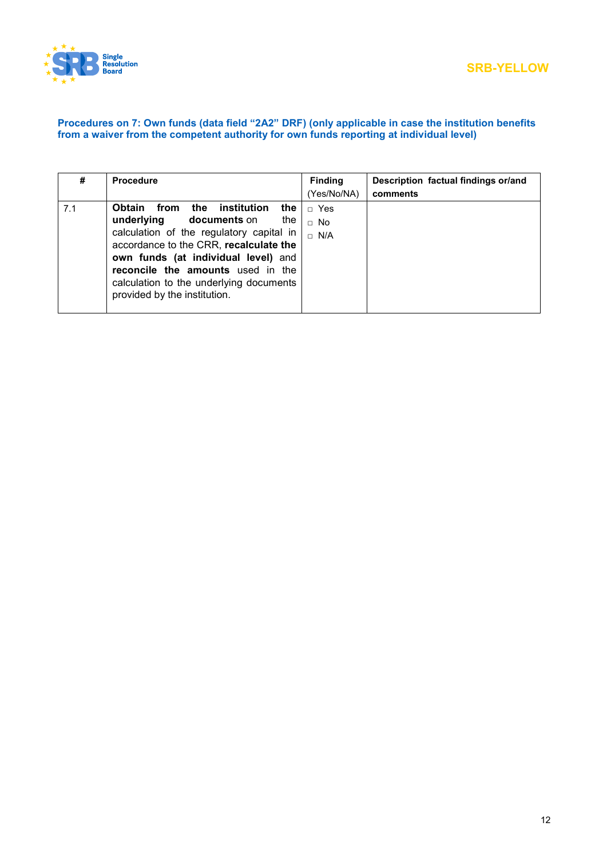

### **Procedures on 7: Own funds (data field "2A2" DRF) (only applicable in case the institution benefits from a waiver from the competent authority for own funds reporting at individual level)**

| #   | <b>Procedure</b>                                   | <b>Finding</b> | Description factual findings or/and |
|-----|----------------------------------------------------|----------------|-------------------------------------|
|     |                                                    | (Yes/No/NA)    | comments                            |
| 7.1 | from<br>the<br><b>Obtain</b><br>institution<br>the | $\Box$ Yes     |                                     |
|     | underlying<br>documents on<br>the                  | $\Box$ No      |                                     |
|     | calculation of the regulatory capital in           | $\sqcap$ N/A   |                                     |
|     | accordance to the CRR, recalculate the             |                |                                     |
|     | own funds (at individual level) and                |                |                                     |
|     | reconcile the amounts used in the                  |                |                                     |
|     | calculation to the underlying documents            |                |                                     |
|     | provided by the institution.                       |                |                                     |
|     |                                                    |                |                                     |